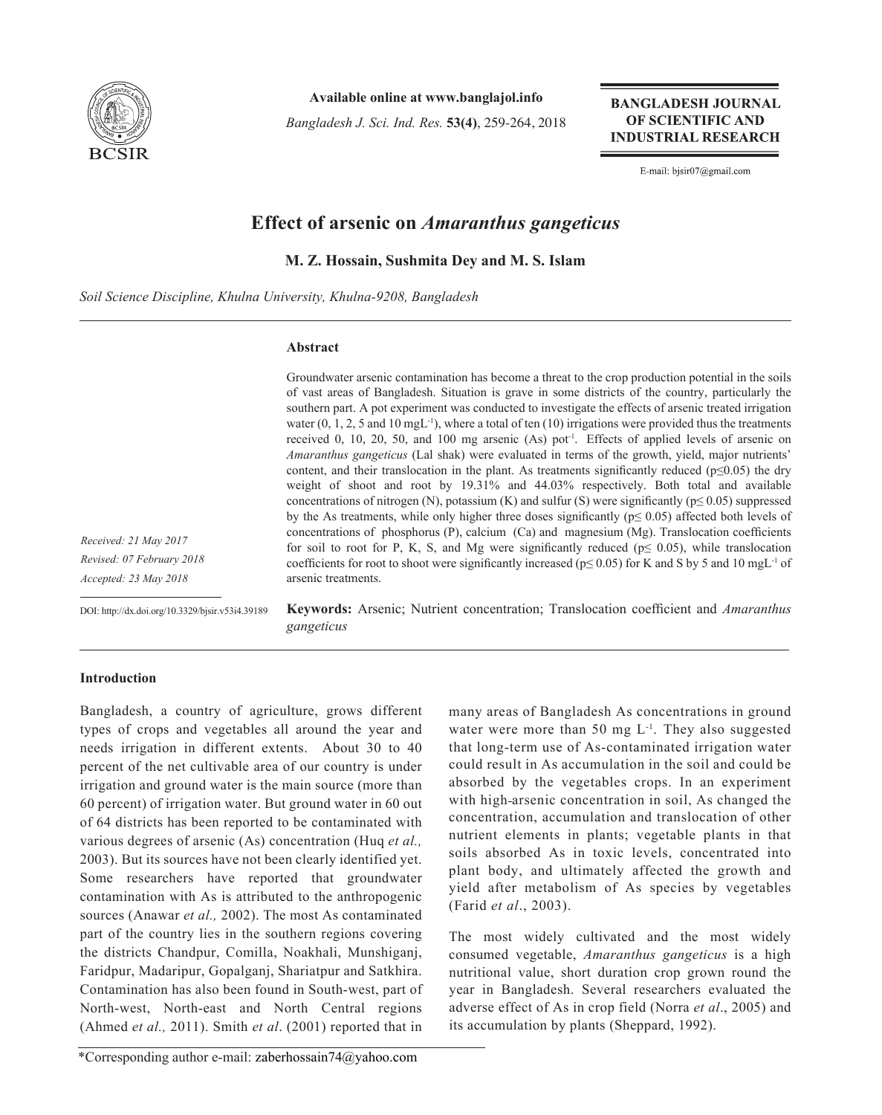

**Available online at www.banglajol.info**

*Bangladesh J. Sci. Ind. Res.* **53(4)**, 259-264, 2018

**BANGLADESH JOURNAL** OF SCIENTIFIC AND **INDUSTRIAL RESEARCH** 

E-mail: bjsir07@gmail.com

# **Effect of arsenic on** *Amaranthus gangeticus*

**M. Z. Hossain, Sushmita Dey and M. S. Islam**

*Soil Science Discipline, Khulna University, Khulna-9208, Bangladesh*

### **Abstract**

Groundwater arsenic contamination has become a threat to the crop production potential in the soils of vast areas of Bangladesh. Situation is grave in some districts of the country, particularly the southern part. A pot experiment was conducted to investigate the effects of arsenic treated irrigation water  $(0, 1, 2, 5$  and  $10 \text{ mgL}^{-1})$ , where a total of ten  $(10)$  irrigations were provided thus the treatments received 0, 10, 20, 50, and 100 mg arsenic (As) pot<sup>1</sup>. Effects of applied levels of arsenic on *Amaranthus gangeticus* (Lal shak) were evaluated in terms of the growth, yield, major nutrients' content, and their translocation in the plant. As treatments significantly reduced ( $p≤0.05$ ) the dry weight of shoot and root by 19.31% and 44.03% respectively. Both total and available concentrations of nitrogen (N), potassium (K) and sulfur (S) were significantly ( $p \le 0.05$ ) suppressed by the As treatments, while only higher three doses significantly ( $p \le 0.05$ ) affected both levels of concentrations of phosphorus (P), calcium (Ca) and magnesium (Mg). Translocation coefficients for soil to root for P, K, S, and Mg were significantly reduced ( $p \le 0.05$ ), while translocation coefficients for root to shoot were significantly increased ( $p \le 0.05$ ) for K and S by 5 and 10 mgL<sup>-1</sup> of arsenic treatments.

*Received: 21 May 2017 Revised: 07 February 2018 Accepted: 23 May 2018*

DOI: http://dx.doi.org/10.3329/bjsir.v53i4.39189

**Keywords:** Arsenic; Nutrient concentration; Translocation coefficient and *Amaranthus gangeticus*

## **Introduction**

Bangladesh, a country of agriculture, grows different types of crops and vegetables all around the year and needs irrigation in different extents. About 30 to 40 percent of the net cultivable area of our country is under irrigation and ground water is the main source (more than 60 percent) of irrigation water. But ground water in 60 out of 64 districts has been reported to be contaminated with various degrees of arsenic (As) concentration (Huq *et al.,* 2003). But its sources have not been clearly identified yet. Some researchers have reported that groundwater contamination with As is attributed to the anthropogenic sources (Anawar *et al.,* 2002). The most As contaminated part of the country lies in the southern regions covering the districts Chandpur, Comilla, Noakhali, Munshiganj, Faridpur, Madaripur, Gopalganj, Shariatpur and Satkhira. Contamination has also been found in South-west, part of North-west, North-east and North Central regions (Ahmed *et al.,* 2011). Smith *et al*. (2001) reported that in

many areas of Bangladesh As concentrations in ground water were more than 50 mg  $L^{-1}$ . They also suggested that long-term use of As-contaminated irrigation water could result in As accumulation in the soil and could be absorbed by the vegetables crops. In an experiment with high-arsenic concentration in soil, As changed the concentration, accumulation and translocation of other nutrient elements in plants; vegetable plants in that soils absorbed As in toxic levels, concentrated into plant body, and ultimately affected the growth and yield after metabolism of As species by vegetables (Farid *et al*., 2003).

The most widely cultivated and the most widely consumed vegetable, *Amaranthus gangeticus* is a high nutritional value, short duration crop grown round the year in Bangladesh. Several researchers evaluated the adverse effect of As in crop field (Norra *et al*., 2005) and its accumulation by plants (Sheppard, 1992).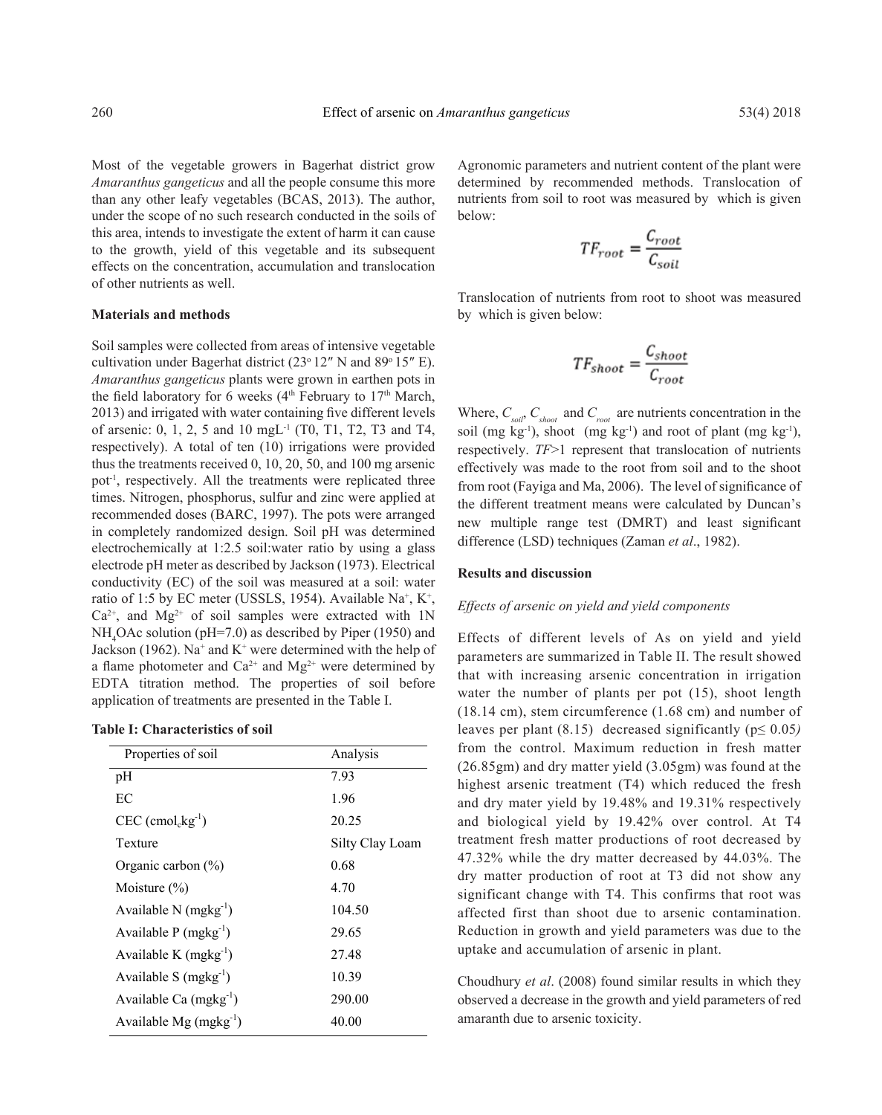Most of the vegetable growers in Bagerhat district grow *Amaranthus gangeticus* and all the people consume this more than any other leafy vegetables (BCAS, 2013). The author, under the scope of no such research conducted in the soils of this area, intends to investigate the extent of harm it can cause to the growth, yield of this vegetable and its subsequent effects on the concentration, accumulation and translocation of other nutrients as well.

#### **Materials and methods**

Soil samples were collected from areas of intensive vegetable cultivation under Bagerhat district  $(23°12''$  N and  $89°15''$  E). *Amaranthus gangeticus* plants were grown in earthen pots in the field laboratory for 6 weeks ( $4<sup>th</sup>$  February to  $17<sup>th</sup>$  March, 2013) and irrigated with water containing five different levels of arsenic: 0, 1, 2, 5 and 10 mgL<sup>-1</sup> (T0, T1, T2, T3 and T4, respectively). A total of ten (10) irrigations were provided thus the treatments received 0, 10, 20, 50, and 100 mg arsenic pot<sup>-1</sup>, respectively. All the treatments were replicated three times. Nitrogen, phosphorus, sulfur and zinc were applied at recommended doses (BARC, 1997). The pots were arranged in completely randomized design. Soil pH was determined electrochemically at 1:2.5 soil:water ratio by using a glass electrode pH meter as described by Jackson (1973). Electrical conductivity (EC) of the soil was measured at a soil: water ratio of 1:5 by EC meter (USSLS, 1954). Available Na<sup>+</sup>, K<sup>+</sup>,  $Ca^{2+}$ , and  $Mg^{2+}$  of soil samples were extracted with 1N NH<sub>4</sub>OAc solution (pH=7.0) as described by Piper (1950) and Jackson (1962). Na<sup>+</sup> and  $K^+$  were determined with the help of a flame photometer and  $Ca^{2+}$  and  $Mg^{2+}$  were determined by EDTA titration method. The properties of soil before application of treatments are presented in the Table I.

| <b>Table I: Characteristics of soil</b> |
|-----------------------------------------|
|-----------------------------------------|

| Properties of soil                          | Analysis        |
|---------------------------------------------|-----------------|
| pH                                          | 7.93            |
| EС                                          | 1.96            |
| $CEC$ (cmol <sub>c</sub> kg <sup>-1</sup> ) | 20.25           |
| Texture                                     | Silty Clay Loam |
| Organic carbon $(\%)$                       | 0.68            |
| Moisture $(\% )$                            | 4.70            |
| Available N $(mgkg^{-1})$                   | 104.50          |
| Available $P$ (mgkg <sup>-1</sup> )         | 29.65           |
| Available K $(mgkg^{-1})$                   | 27.48           |
| Available S $(mgkg^{-1})$                   | 10.39           |
| Available Ca $(mgkg^{-1})$                  | 290.00          |
| Available Mg $(mgkg^{-1})$                  | 40.00           |

Agronomic parameters and nutrient content of the plant were determined by recommended methods. Translocation of nutrients from soil to root was measured by which is given below:

$$
TF_{root} = \frac{C_{root}}{C_{soil}}
$$

Translocation of nutrients from root to shoot was measured by which is given below:

$$
TF_{shoot} = \frac{C_{shoot}}{C_{root}}
$$

Where,  $C_{\text{sol}$ ,  $C_{\text{shoot}}$  and  $C_{\text{root}}$  are nutrients concentration in the soil (mg kg<sup>-1</sup>), shoot (mg kg<sup>-1</sup>) and root of plant (mg kg<sup>-1</sup>), respectively. *TF*>1 represent that translocation of nutrients effectively was made to the root from soil and to the shoot from root (Fayiga and Ma, 2006). The level of significance of the different treatment means were calculated by Duncan's new multiple range test (DMRT) and least significant difference (LSD) techniques (Zaman *et al*., 1982).

#### **Results and discussion**

#### *Effects of arsenic on yield and yield components*

Effects of different levels of As on yield and yield parameters are summarized in Table II. The result showed that with increasing arsenic concentration in irrigation water the number of plants per pot (15), shoot length (18.14 cm), stem circumference (1.68 cm) and number of leaves per plant (8.15) decreased significantly (p≤ 0.05*)* from the control. Maximum reduction in fresh matter (26.85gm) and dry matter yield (3.05gm) was found at the highest arsenic treatment (T4) which reduced the fresh and dry mater yield by 19.48% and 19.31% respectively and biological yield by 19.42% over control. At T4 treatment fresh matter productions of root decreased by 47.32% while the dry matter decreased by 44.03%. The dry matter production of root at T3 did not show any significant change with T4. This confirms that root was affected first than shoot due to arsenic contamination. Reduction in growth and yield parameters was due to the uptake and accumulation of arsenic in plant.

Choudhury *et al*. (2008) found similar results in which they observed a decrease in the growth and yield parameters of red amaranth due to arsenic toxicity.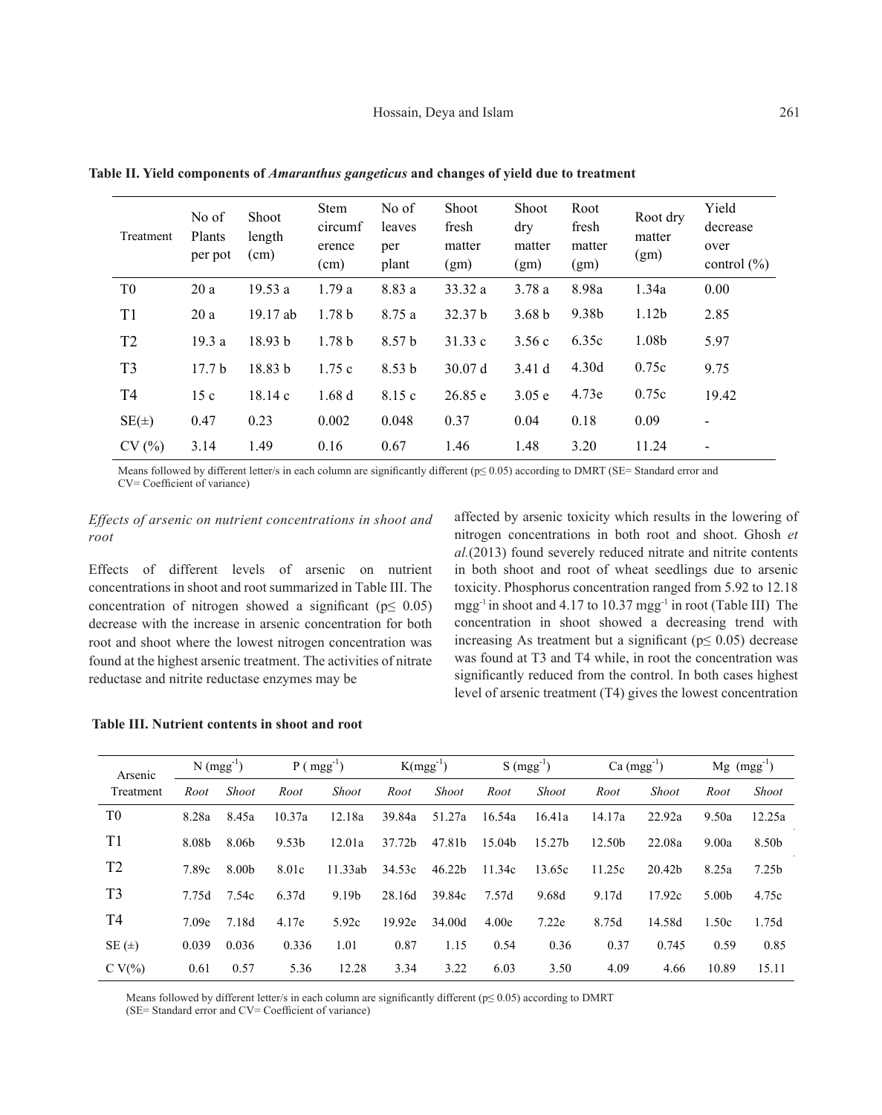| Treatment      | No of<br>Plants<br>per pot | <b>Shoot</b><br>length<br>(cm) | <b>Stem</b><br>circumf<br>erence<br>(cm) | No of<br>leaves<br>per<br>plant | Shoot<br>fresh<br>matter<br>(gm) | <b>Shoot</b><br>dry<br>matter<br>(gm) | Root<br>fresh<br>matter<br>(gm) | Root dry<br>matter<br>(gm) | Yield<br>decrease<br>over<br>control $(\% )$ |
|----------------|----------------------------|--------------------------------|------------------------------------------|---------------------------------|----------------------------------|---------------------------------------|---------------------------------|----------------------------|----------------------------------------------|
| T <sub>0</sub> | 20a                        | 19.53a                         | 1.79a                                    | 8.83 a                          | 33.32 a                          | 3.78a                                 | 8.98a                           | 1.34a                      | 0.00                                         |
| T1             | 20a                        | 19.17 ab                       | 1.78 <sub>b</sub>                        | 8.75 a                          | 32.37 b                          | 3.68 <sub>b</sub>                     | 9.38b                           | 1.12 <sub>b</sub>          | 2.85                                         |
| T <sub>2</sub> | 19.3a                      | 18.93 b                        | 1.78 <sub>b</sub>                        | 8.57 b                          | 31.33c                           | 3.56c                                 | 6.35c                           | 1.08 <sub>b</sub>          | 5.97                                         |
| T <sub>3</sub> | 17.7 <sub>b</sub>          | 18.83 b                        | 1.75c                                    | 8.53 <sub>b</sub>               | 30.07 d                          | 3.41d                                 | 4.30d                           | 0.75c                      | 9.75                                         |
| T <sub>4</sub> | 15c                        | 18.14c                         | 1.68d                                    | 8.15 c                          | 26.85 e                          | 3.05 e                                | 4.73e                           | 0.75c                      | 19.42                                        |
| $SE(\pm)$      | 0.47                       | 0.23                           | 0.002                                    | 0.048                           | 0.37                             | 0.04                                  | 0.18                            | 0.09                       | $\overline{\phantom{a}}$                     |
| CV(%)          | 3.14                       | 1.49                           | 0.16                                     | 0.67                            | 1.46                             | 1.48                                  | 3.20                            | 11.24                      | $\overline{\phantom{a}}$                     |

**Table II. Yield components of** *Amaranthus gangeticus* **and changes of yield due to treatment**

Means followed by different letter/s in each column are significantly different (p≤ 0.05) according to DMRT (SE= Standard error and CV= Coefficient of variance)

# *Effects of arsenic on nutrient concentrations in shoot and root*

Effects of different levels of arsenic on nutrient concentrations in shoot and root summarized in Table III. The concentration of nitrogen showed a significant ( $p \leq 0.05$ ) decrease with the increase in arsenic concentration for both root and shoot where the lowest nitrogen concentration was found at the highest arsenic treatment. The activities of nitrate reductase and nitrite reductase enzymes may be

affected by arsenic toxicity which results in the lowering of nitrogen concentrations in both root and shoot. Ghosh *et al.*(2013) found severely reduced nitrate and nitrite contents in both shoot and root of wheat seedlings due to arsenic toxicity. Phosphorus concentration ranged from 5.92 to 12.18 mgg-1 in shoot and 4.17 to 10.37 mgg-1 in root (Table III) The concentration in shoot showed a decreasing trend with increasing As treatment but a significant ( $p \leq 0.05$ ) decrease was found at T3 and T4 while, in root the concentration was significantly reduced from the control. In both cases highest level of arsenic treatment (T4) gives the lowest concentration

# **Table III. Nutrient contents in shoot and root**

| Arsenic        | $N (mgg^{-1})$ |              | $P$ ( mgg <sup>-1</sup> ) |              | $K(mgg^{-1})$ |                    | $S(mgg^{-1})$ |                    | $Ca (mgg^{-1})$ |              | $Mg$ (mgg <sup>-1</sup> ) |                   |
|----------------|----------------|--------------|---------------------------|--------------|---------------|--------------------|---------------|--------------------|-----------------|--------------|---------------------------|-------------------|
| Treatment      | Root           | <b>Shoot</b> | Root                      | <b>Shoot</b> | Root          | <b>Shoot</b>       | Root          | <b>Shoot</b>       | Root            | <b>Shoot</b> | Root                      | <b>Shoot</b>      |
| T <sub>0</sub> | 8.28a          | 8.45a        | 10.37a                    | 12.18a       | 39.84a        | 51.27a             | 16.54a        | 16.41a             | 14.17a          | 22.92a       | 9.50a                     | 12.25a            |
| T1             | 8.08b          | 8.06b        | 9.53 <sub>b</sub>         | 12.01a       | 37.72b        | 47.81b             | 15.04b        | 15.27 <sub>b</sub> | 12.50b          | 22.08a       | 9.00a                     | 8.50b             |
| T <sub>2</sub> | 7.89c          | 8.00b        | 8.01c                     | 11.33ab      | 34.53c        | 46.22 <sub>b</sub> | 11.34c        | 13.65c             | 11.25c          | 20.42b       | 8.25a                     | 7.25 <sub>b</sub> |
| T <sub>3</sub> | 7.75d          | 7.54c        | 6.37d                     | 9.19b        | 28.16d        | 39.84c             | 7.57d         | 9.68d              | 9.17d           | 17.92c       | 5.00b                     | 4.75c             |
| T4             | 7.09e          | 7.18d        | 4.17e                     | 5.92c        | 19.92e        | 34.00d             | 4.00e         | 7.22e              | 8.75d           | 14.58d       | 1.50c                     | 1.75d             |
| $SE(\pm)$      | 0.039          | 0.036        | 0.336                     | 1.01         | 0.87          | 1.15               | 0.54          | 0.36               | 0.37            | 0.745        | 0.59                      | 0.85              |
| C V $(\%)$     | 0.61           | 0.57         | 5.36                      | 12.28        | 3.34          | 3.22               | 6.03          | 3.50               | 4.09            | 4.66         | 10.89                     | 15.11             |

Means followed by different letter/s in each column are significantly different (p≤ 0.05) according to DMRT

(SE= Standard error and CV= Coefficient of variance)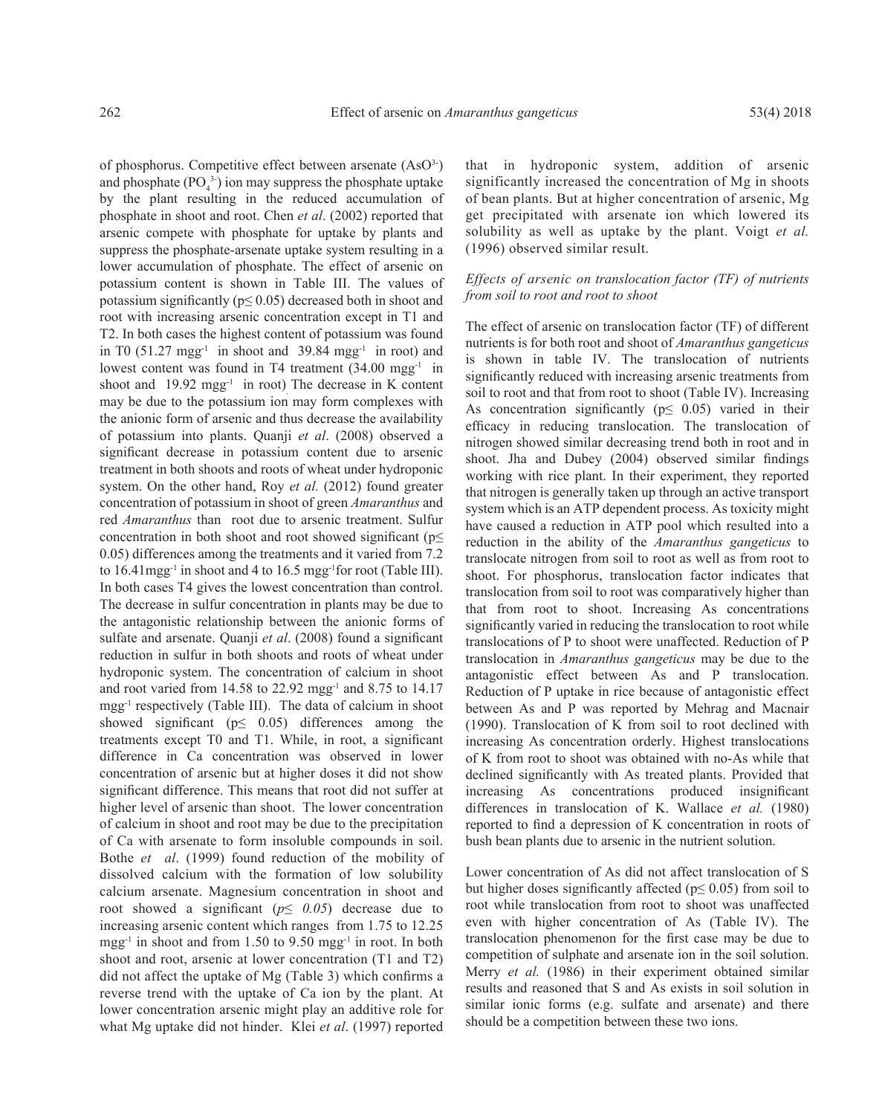of phosphorus. Competitive effect between arsenate  $(AsO<sup>3-</sup>)$ and phosphate  $(PO<sub>4</sub><sup>3</sup>)$  ion may suppress the phosphate uptake by the plant resulting in the reduced accumulation of phosphate in shoot and root. Chen *et al*. (2002) reported that arsenic compete with phosphate for uptake by plants and suppress the phosphate-arsenate uptake system resulting in a lower accumulation of phosphate. The effect of arsenic on potassium content is shown in Table III. The values of potassium significantly ( $p \le 0.05$ ) decreased both in shoot and root with increasing arsenic concentration except in T1 and T2. In both cases the highest content of potassium was found in T0  $(51.27 \text{ mgg}^{-1})$  in shoot and 39.84 mgg<sup>-1</sup> in root) and lowest content was found in T4 treatment  $(34.00 \text{ mgg}^{-1})$  in shoot and  $19.92$  mgg<sup>-1</sup> in root). The decrease in K content may be due to the potassium ion may form complexes with the anionic form of arsenic and thus decrease the availability of potassium into plants. Quanji *et al*. (2008) observed a significant decrease in potassium content due to arsenic treatment in both shoots and roots of wheat under hydroponic system. On the other hand, Roy *et al.* (2012) found greater concentration of potassium in shoot of green *Amaranthus* and red *Amaranthus* than root due to arsenic treatment. Sulfur concentration in both shoot and root showed significant ( $p\leq$ 0.05) differences among the treatments and it varied from 7.2 to  $16.41$  mgg<sup>-1</sup> in shoot and 4 to  $16.5$  mgg<sup>-1</sup> for root (Table III). In both cases T4 gives the lowest concentration than control. The decrease in sulfur concentration in plants may be due to the antagonistic relationship between the anionic forms of sulfate and arsenate. Quanji *et al*. (2008) found a significant reduction in sulfur in both shoots and roots of wheat under hydroponic system. The concentration of calcium in shoot and root varied from 14.58 to 22.92 mgg-1 and 8.75 to 14.17 mgg-1 respectively (Table III). The data of calcium in shoot showed significant ( $p \leq 0.05$ ) differences among the treatments except T0 and T1. While, in root, a significant difference in Ca concentration was observed in lower concentration of arsenic but at higher doses it did not show significant difference. This means that root did not suffer at higher level of arsenic than shoot. The lower concentration of calcium in shoot and root may be due to the precipitation of Ca with arsenate to form insoluble compounds in soil. Bothe *et al*. (1999) found reduction of the mobility of dissolved calcium with the formation of low solubility calcium arsenate. Magnesium concentration in shoot and root showed a significant ( $p \leq 0.05$ ) decrease due to increasing arsenic content which ranges from 1.75 to 12.25 mgg-1 in shoot and from 1.50 to 9.50 mgg-1 in root. In both shoot and root, arsenic at lower concentration (T1 and T2) did not affect the uptake of Mg (Table 3) which confirms a reverse trend with the uptake of Ca ion by the plant. At lower concentration arsenic might play an additive role for what Mg uptake did not hinder. Klei *et al*. (1997) reported

that in hydroponic system, addition of arsenic significantly increased the concentration of Mg in shoots of bean plants. But at higher concentration of arsenic, Mg get precipitated with arsenate ion which lowered its solubility as well as uptake by the plant. Voigt *et al.* (1996) observed similar result.

# *Effects of arsenic on translocation factor (TF) of nutrients from soil to root and root to shoot*

The effect of arsenic on translocation factor (TF) of different nutrients is for both root and shoot of *Amaranthus gangeticus* is shown in table IV. The translocation of nutrients significantly reduced with increasing arsenic treatments from soil to root and that from root to shoot (Table IV). Increasing As concentration significantly ( $p \leq 0.05$ ) varied in their efficacy in reducing translocation. The translocation of nitrogen showed similar decreasing trend both in root and in shoot. Jha and Dubey (2004) observed similar findings working with rice plant. In their experiment, they reported that nitrogen is generally taken up through an active transport system which is an ATP dependent process. As toxicity might have caused a reduction in ATP pool which resulted into a reduction in the ability of the *Amaranthus gangeticus* to translocate nitrogen from soil to root as well as from root to shoot. For phosphorus, translocation factor indicates that translocation from soil to root was comparatively higher than that from root to shoot. Increasing As concentrations significantly varied in reducing the translocation to root while translocations of P to shoot were unaffected. Reduction of P translocation in *Amaranthus gangeticus* may be due to the antagonistic effect between As and P translocation. Reduction of P uptake in rice because of antagonistic effect between As and P was reported by Mehrag and Macnair (1990). Translocation of K from soil to root declined with increasing As concentration orderly. Highest translocations of K from root to shoot was obtained with no-As while that declined significantly with As treated plants. Provided that increasing As concentrations produced insignificant differences in translocation of K. Wallace *et al.* (1980) reported to find a depression of K concentration in roots of bush bean plants due to arsenic in the nutrient solution.

Lower concentration of As did not affect translocation of S but higher doses significantly affected ( $p \le 0.05$ ) from soil to root while translocation from root to shoot was unaffected even with higher concentration of As (Table IV). The translocation phenomenon for the first case may be due to competition of sulphate and arsenate ion in the soil solution. Merry *et al.* (1986) in their experiment obtained similar results and reasoned that S and As exists in soil solution in similar ionic forms (e.g. sulfate and arsenate) and there should be a competition between these two ions.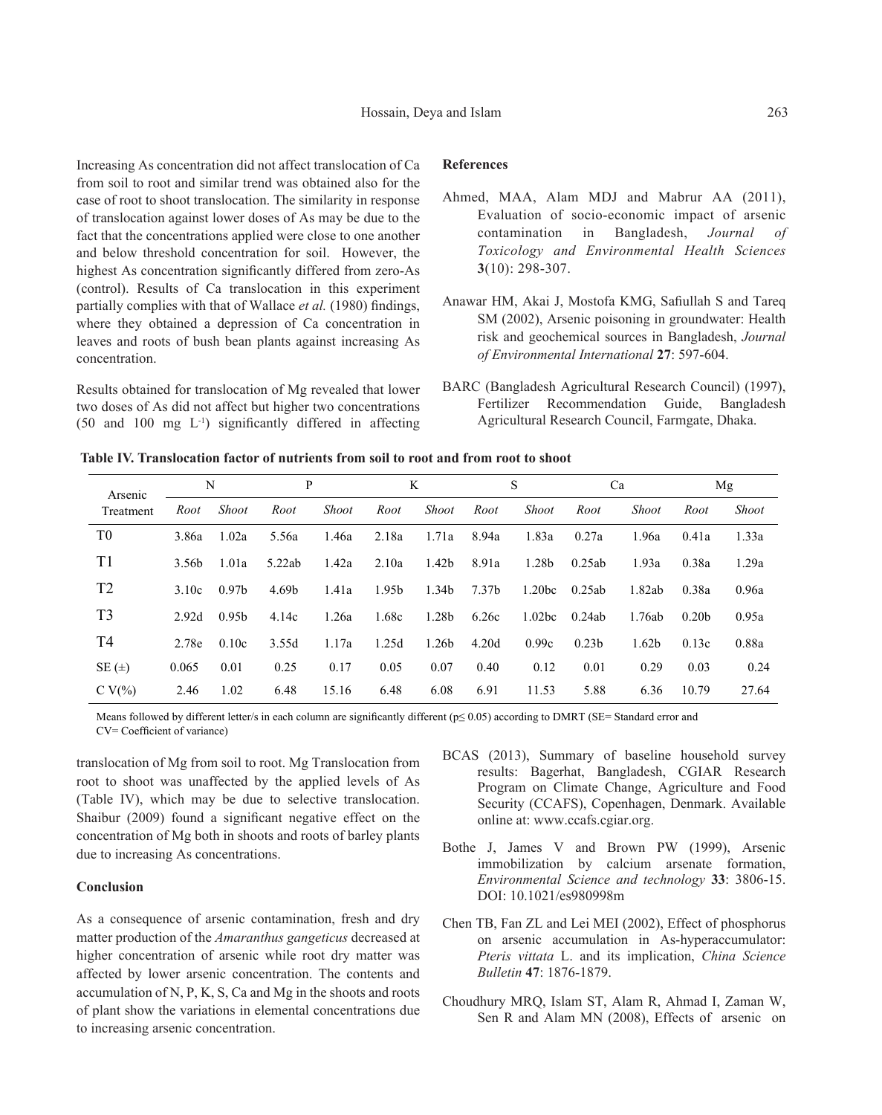Increasing As concentration did not affect translocation of Ca from soil to root and similar trend was obtained also for the case of root to shoot translocation. The similarity in response of translocation against lower doses of As may be due to the fact that the concentrations applied were close to one another and below threshold concentration for soil. However, the highest As concentration significantly differed from zero-As (control). Results of Ca translocation in this experiment partially complies with that of Wallace *et al.* (1980) findings, where they obtained a depression of Ca concentration in leaves and roots of bush bean plants against increasing As concentration.

Results obtained for translocation of Mg revealed that lower two doses of As did not affect but higher two concentrations (50 and 100 mg L-1) significantly differed in affecting

### **References**

- Ahmed, MAA, Alam MDJ and Mabrur AA (2011), Evaluation of socio-economic impact of arsenic contamination in Bangladesh, *Journal of Toxicology and Environmental Health Sciences* **3**(10): 298-307.
- Anawar HM, Akai J, Mostofa KMG, Safiullah S and Tareq SM (2002), Arsenic poisoning in groundwater: Health risk and geochemical sources in Bangladesh, *Journal of Environmental International* **27**: 597-604.
- BARC (Bangladesh Agricultural Research Council) (1997), Fertilizer Recommendation Guide, Bangladesh Agricultural Research Council, Farmgate, Dhaka.

| Arsenic        | N     |                   | P      |              | K     |                   | S     |                    | Ca                |                   | Mg                |              |
|----------------|-------|-------------------|--------|--------------|-------|-------------------|-------|--------------------|-------------------|-------------------|-------------------|--------------|
| Treatment      | Root  | <b>Shoot</b>      | Root   | <b>Shoot</b> | Root  | <b>Shoot</b>      | Root  | <b>Shoot</b>       | Root              | <b>Shoot</b>      | Root              | <b>Shoot</b> |
| T <sub>0</sub> | 3.86a | 1.02a             | 5.56a  | 1.46a        | 2.18a | 1.71a             | 8.94a | 1.83a              | 0.27a             | 1.96a             | 0.41a             | 1.33a        |
| T <sub>1</sub> | 3.56b | 1.01a             | 5.22ab | 1.42a        | 2.10a | 1.42b             | 8.91a | 1.28b              | 0.25ab            | 1.93a             | 0.38a             | 1.29a        |
| T <sub>2</sub> | 3.10c | 0.97 <sub>b</sub> | 4.69b  | 1.41a        | 1.95b | 1.34b             | 7.37b | 1.20 <sub>bc</sub> | 0.25ab            | 1.82ab            | 0.38a             | 0.96a        |
| T <sub>3</sub> | 2.92d | 0.95 <sub>b</sub> | 4.14c  | 1.26a        | 1.68c | 1.28b             | 6.26c | 1.02 <sub>bc</sub> | 0.24ab            | 1.76ab            | 0.20 <sub>b</sub> | 0.95a        |
| T <sub>4</sub> | 2.78e | 0.10c             | 3.55d  | 1.17a        | 1.25d | 1.26 <sub>b</sub> | 4.20d | 0.99c              | 0.23 <sub>b</sub> | 1.62 <sub>b</sub> | 0.13c             | 0.88a        |
| SE $(\pm)$     | 0.065 | 0.01              | 0.25   | 0.17         | 0.05  | 0.07              | 0.40  | 0.12               | 0.01              | 0.29              | 0.03              | 0.24         |
| C V $(\%)$     | 2.46  | 1.02              | 6.48   | 15.16        | 6.48  | 6.08              | 6.91  | 11.53              | 5.88              | 6.36              | 10.79             | 27.64        |

Means followed by different letter/s in each column are significantly different (p≤ 0.05) according to DMRT (SE= Standard error and

CV= Coefficient of variance)

translocation of Mg from soil to root. Mg Translocation from root to shoot was unaffected by the applied levels of As (Table IV), which may be due to selective translocation. Shaibur (2009) found a significant negative effect on the concentration of Mg both in shoots and roots of barley plants due to increasing As concentrations.

### **Conclusion**

As a consequence of arsenic contamination, fresh and dry matter production of the *Amaranthus gangeticus* decreased at higher concentration of arsenic while root dry matter was affected by lower arsenic concentration. The contents and accumulation of N, P, K, S, Ca and Mg in the shoots and roots of plant show the variations in elemental concentrations due to increasing arsenic concentration.

- BCAS (2013), Summary of baseline household survey results: Bagerhat, Bangladesh, CGIAR Research Program on Climate Change, Agriculture and Food Security (CCAFS), Copenhagen, Denmark. Available online at: www.ccafs.cgiar.org.
- Bothe J, James V and Brown PW (1999), Arsenic immobilization by calcium arsenate formation, *Environmental Science and technology* **33**: 3806-15. DOI: 10.1021/es980998m
- Chen TB, Fan ZL and Lei MEI (2002), Effect of phosphorus on arsenic accumulation in As-hyperaccumulator: *Pteris vittata* L. and its implication, *China Science Bulletin* **47**: 1876-1879.
- Choudhury MRQ, Islam ST, Alam R, Ahmad I, Zaman W, Sen R and Alam MN (2008), Effects of arsenic on